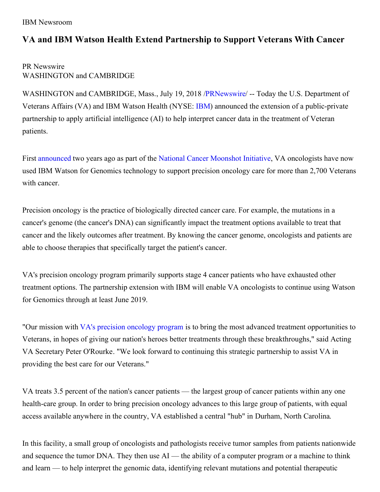IBM Newsroom

## **VA and IBM Watson Health Extend Partnership to Support Veterans With Cancer**

## PR Newswire WASHINGTON and CAMBRIDGE

WASHINGTON and CAMBRIDGE, Mass., July 19, 2018 [/PRNewswire](http://www.prnewswire.com/)/ -- Today the U.S. Department of Veterans Affairs (VA) and IBM Watson Health (NYSE: [IBM](http://www.ibm.com/investor)) announced the extension of a public-private partnership to apply artificial intelligence (AI) to help interpret cancer data in the treatment of Veteran patients.

First [announced](https://www-03.ibm.com/press/us/en/pressrelease/50061.wss) two years ago as part of the National Cancer [Moonshot](https://obamawhitehouse.archives.gov/the-press-office/2016/02/01/fact-sheet-investing-national-cancer-moonshot) Initiative, VA oncologists have now used IBM Watson for Genomics technology to support precision oncology care for more than 2,700 Veterans with cancer.

Precision oncology is the practice of biologically directed cancer care. For example, the mutations in a cancer's genome (the cancer's DNA) can significantly impact the treatment options available to treat that cancer and the likely outcomes after treatment. By knowing the cancer genome, oncologists and patients are able to choose therapies that specifically target the patient's cancer.

VA's precision oncology program primarily supports stage 4 cancer patients who have exhausted other treatment options. The partnership extension with IBM will enable VA oncologists to continue using Watson for Genomics through at least June 2019.

"Our mission with VA's precision [oncology](https://www.research.va.gov/pubs/varqu/spring2016/4.cfm) program is to bring the most advanced treatment opportunities to Veterans, in hopes of giving our nation's heroes better treatments through these breakthroughs," said Acting VA Secretary Peter O'Rourke. "We look forward to continuing this strategic partnership to assist VA in providing the best care for our Veterans."

VA treats 3.5 percent of the nation's cancer patients — the largest group of cancer patients within any one health-care group. In order to bring precision oncology advances to this large group of patients, with equal access available anywhere in the country, VA established a central "hub" in Durham, North Carolina.

In this facility, a small group of oncologists and pathologists receive tumor samples from patients nationwide and sequence the tumor DNA. They then use  $AI$  — the ability of a computer program or a machine to think and learn — to help interpret the genomic data, identifying relevant mutations and potential therapeutic